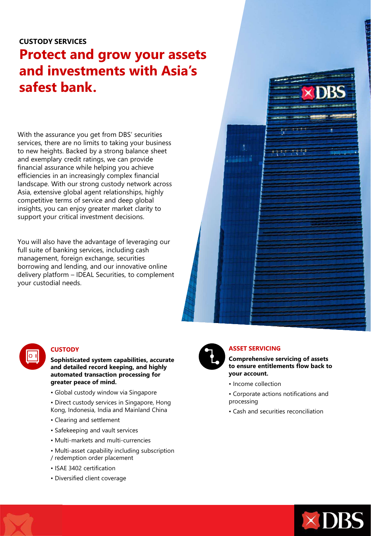# **CUSTODY SERVICES**

# **Protect and grow your assets and investments with Asia's safest bank.**

With the assurance you get from DBS' securities services, there are no limits to taking your business to new heights. Backed by a strong balance sheet and exemplary credit ratings, we can provide financial assurance while helping you achieve efficiencies in an increasingly complex financial landscape. With our strong custody network across Asia, extensive global agent relationships, highly competitive terms of service and deep global insights, you can enjoy greater market clarity to support your critical investment decisions.

You will also have the advantage of leveraging our full suite of banking services, including cash management, foreign exchange, securities borrowing and lending, and our innovative online delivery platform – IDEAL Securities, to complement your custodial needs.





## **CUSTODY**

**Sophisticated system capabilities, accurate and detailed record keeping, and highly automated transaction processing for greater peace of mind.** 

- Global custody window via Singapore
- Direct custody services in Singapore, Hong Kong, Indonesia, India and Mainland China
- Clearing and settlement
- Safekeeping and vault services
- Multi-markets and multi-currencies
- Multi-asset capability including subscription
- / redemption order placement
- ISAE 3402 certification
- Diversified client coverage



# **ASSET SERVICING**

**Comprehensive servicing of assets to ensure entitlements flow back to your account.** 

- Income collection
- Corporate actions notifications and processing
- Cash and securities reconciliation